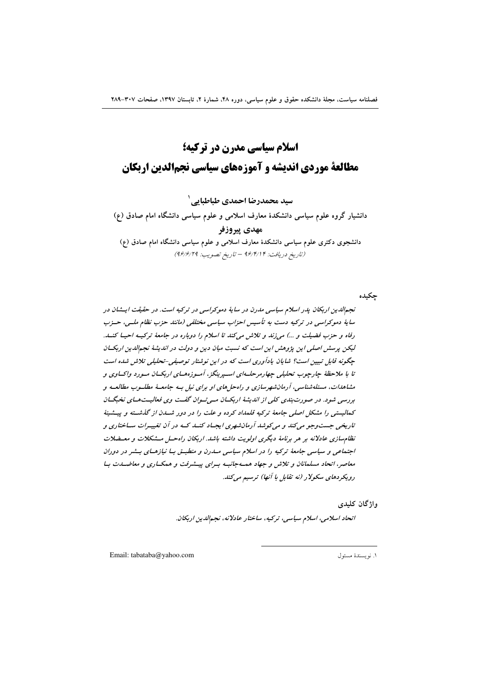# **اسلام سیاسی مدرن در ترکیه؛ مطالعة موردي انديشه و آموزههاي سياسي نجمالدين اربكان**

سيد محمدرضا احمدي طباطبايي<sup>\</sup>

دانشیار گروه علوم سیاسی دانشکدهٔ معارف اسلامی و علوم سیاسی دانشگاه امام صادق (ع) مهدی پیروزفر دانشجوی دکتری علوم سیاسی دانشکدهٔ معارف اسلامی و علوم سیاسی دانشگاه امام صادق (ع) (تاريخ دريافت: ۹۶/۴/۱۴ – تاريخ تصويب: ۹۶/۶/۲۹)

چکیده

نجم*|لدین اربکان پدر اسلام سیاسی مدرن در سایهٔ دموکراسی در ترکیه است. در حقیقت ایـــُنان در* س*ا*یهٔ دموکراسی در ترکیه دست به تأسیس احزاب سیاسی مختلفی (مانند حزب نظام ملــی، حــزب رفاه و حزب فضیلت و ...) میiزند و تلاش میکند تا اسلام را دوباره در جامعهٔ ترکیــه احیــا کنــد. لیکن پرسش اصلی این پژوهش این است که نسبت میان دین و دولت در اندیشهٔ نجم*الدین ا*ربکــان چگونه قابل تبیین است؟ شایان یادآوری است که در این نوشتار توصیفی-تحلیلی تلاش شده است تا با ملاحظهٔ چارچوب تحلیلی *چهارمرحلــهای اسـپرینگز*، آمـوزههـای اربکــان مـورد واکــاوی و مشاه*دات*، مسئله شناسی، آرمان شهرسازی و راه حل های او برای نیل بـه جامعـهٔ مطلـوب مطالعـه و بررسی شود. در صورت *بندی کلی از اندیشهٔ اربکسان مسی تسوان گفت وی فعالیست هسای نخبگسان* کمالیست*ی را مشکل اصلی جامعهٔ ت*رکیه قلم*داد کرده و علت را در دور شسدن از گذشته و پیـشینهٔ* تاریخی جست *وجو می کند و می کوشد آ دمانشهری ایج*اد کنــد کــه در آن تغییـرات ســاختاری و نظام سازی عادلانه بر هر برنامهٔ دیگری اولویت داشته باش*د. ا*ربکان راه حسل مشکلات و معیضلات اجتما*عی و سیاسی جامعهٔ ترکیه را در اسلام سیاسی مــدرن و منطبــق بــا نیازهــای بــشر در دوران* معاصر، اتحاد مسلمانان و تلاش و جهاد همـهجانبـه بـراى پيــشرفت و همكــارى و معاضــدت بــا رویکردهای سکولار (نه تقابل با آنها) ترسیم میکند.

واژگان کلید<u>ی</u>

اتحاد اسلامی، اسلام سیاسی، ترکیه، ساختار عادلانه، نجم|للدین اربکان.

 $\overline{a}$ 

Email: tabataba@yahoo.com 1 .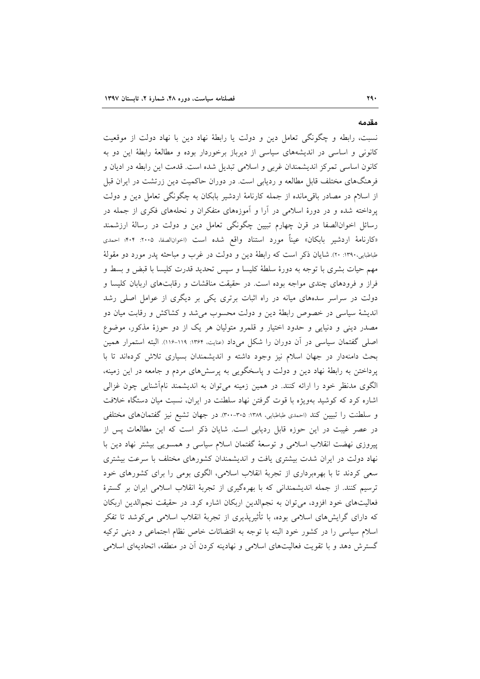نسبت، رابطه و چگونگی تعامل دین و دولت یا رابطهٔ نهاد دین با نهاد دولت از موقعیت کانونی و اساسی در اندیشههای سیاسی از دیرباز برخوردار بوده و مطالعهٔ رابطهٔ این دو به کانون اساسی تمرکز اندیشمندان غربی و اسلامی تبدیل شده است. قدمت این رابطه در ادیان و فرهنگهای مختلف قابل مطالعه و ردیابی است. در دوران حاکمیت دین زرتشت در ایران قبل از اسلام در مصادر باقی مانده از جمله کارنامهٔ اردشیر بابکان به چگونگی تعامل دین و دولت پرداخته شده و در دورهٔ اسلامی در آرا و آموزههای متفکران و نحلههای فکری از جمله در رسائل اخوانالصفا در قرن چهارم تبیین چگونگی تعامل دین و دولت در رسالهٔ ارزشمند «کارنامهٔ اردشیر بابکان» عیناً مورد استناد واقع شده است (احوانالصفا، ۲۰۰۵: ۴۰۴؛ احمدی طباطبایی،۱۳۹۰: ۲۰). شایان ذکر است که رابطهٔ دین و دولت در غرب و مباحثه پدر مورد دو مقولهٔ مهم حیات بشری با توجه به دورهٔ سلطهٔ کلیسا و سپس تحدید قدرت کلیسا با قبض و بسط و فراز و فرودهای چندی مواجه بوده است. در حقیقت مناقشات و رقابتهای اربابان کلیسا و دولت در سراسر سدههای میانه در راه اثبات برتری یکی بر دیگری از عوامل اصلی رشد اندیشهٔ سیاسی در خصوص رابطهٔ دین و دولت محسوب می شد و کشاکش و رقابت میان دو مصدر دینی و دنیایی و حدود اختیار و قلمرو متولیان هر یک از دو حوزهٔ مذکور، موضوع اصلی گفتمان سیاسی در آن دوران را شکل میداد (عنایت، ۱۳۶۴: ۱۱۹-۱۱۶). البته استمرار همین بحث دامنهدار در جهان اسلام نیز وجود داشته و اندیشمندان بسیاری تلاش کردهاند تا با پرداختن به رابطهٔ نهاد دین و دولت و پاسخگویی به پرسشهای مردم و جامعه در این زمینه، الگوی مدنظر خود را ارائه کنند. در همین زمینه میتوان به اندیشمند نامأشنایی چون غزالی اشاره کرد که کوشید بهویژه با قوت گرفتن نهاد سلطنت در ایران، نسبت میان دستگاه خلافت و سلطنت را تبیین کند (احمدی طباطبایی، ۱۳۸۹: ۳۰۰-۳۰۰). در جهان تشیع نیز گفتمان های مختلفی در عصر غیبت در این حوزه قابل ردیابی است. شایان ذکر است که این مطالعات پس از پیروزی نهضت انقلاب اسلامی و توسعهٔ گفتمان اسلام سیاسی و همسویی بیشتر نهاد دین با نهاد دولت در ایران شدت بیشتری یافت و اندیشمندان کشورهای مختلف با سرعت بیشتری سعی کردند تا با بهرهبرداری از تجربهٔ انقلاب اسلامی، الگوی بومی را برای کشورهای خود ترسیم کنند. از جمله اندیشمندانی که با بهرهگیری از تجربهٔ انقلاب اسلامی ایران بر گسترهٔ فعالیتهای خود افزود، می توان به نجمالدین اربکان اشاره کرد. در حقیقت نجمالدین اربکان که دارای گرایشهای اسلامی بوده، با تأثیرپذیری از تجربهٔ انقلاب اسلامی میکوشد تا تفکر اسلام سیاسی را در کشور خود البته با توجه به اقتضائات خاص نظام اجتماعی و دینی ترکیه گسترش دهد و با تقویت فعالیتهای اسلامی و نهادینه کردن آن در منطقه، اتحادیهای اسلامی

مقدمه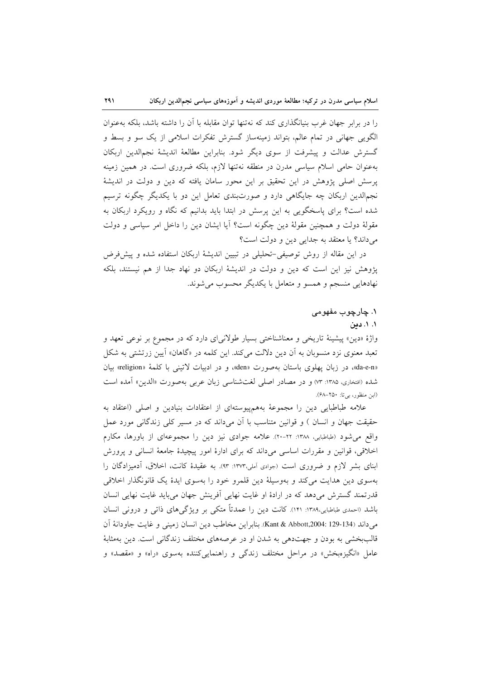را در برابر جهان غرب بنیانگذاری کند که نهتنها توان مقابله با آن را داشته باشد، بلکه بهعنوان الگویی جهانی در تمام عالم، بتواند زمینهساز گسترش تفکرات اسلامی از یک سو و بسط و گسترش عدالت و پیشرفت از سوی دیگر شود. بنابراین مطالعهٔ اندیشهٔ نجم|لدین اربکان بهعنوان حامی اسلام سیاسی مدرن در منطقه نهتنها لازم، بلکه ضروری است. در همین زمینه پرسش اصلی پژوهش در این تحقیق بر این محور سامان یافته که دین و دولت در اندیشهٔ نجمالدین اربکان چه جایگاهی دارد و صورتبندی تعامل این دو با یکدیگر چگونه ترسیم شده است؟ برای پاسخگویی به این پرسش در ابتدا باید بدانیم که نگاه و رویکرد اربکان به مقولهٔ دولت و همچنین مقولهٔ دین چگونه است؟ آیا ایشان دین را داخل امر سیاسی و دولت میداند؟ یا معتقد به جدایی دین و دولت است؟

791

در این مقاله از روش توصیفی-تحلیلی در تبیین اندیشهٔ اربکان استفاده شده و پیش فرض یژوهش نیز این است که دین و دولت در اندیشهٔ اربکان دو نهاد جدا از هم نیستند، بلکه نهادهایی منسجم و همسو و متعامل با یکدیگر محسوب می شوند.

## ۱. چارچوب مفهومی

# ۰۱. دین

واژهٔ «دین» پیشینهٔ تاریخی و معناشناختی بسیار طولانیای دارد که در مجموع بر نوعی تعهد و تعبد معنوی نزد منسوبان به آن دین دلالت میکند. این کلمه در «گاهان» آیین زرتشتی به شکل «da-e-n»، در زبان یهلوی باستان بهصورت «den»، و در ادبیات لاتینی با کلمهٔ «religion» بیان شده (افتخاری، ۱۳۸۵: ۷۳) و در مصادر اصلی لغتشناسی زبان عربی بهصورت «الدین» آمده است (ابن منظور، بي تا: ٢٥٠–۶۸٪).

علامه طباطبایی دین را مجموعهٔ بههمپیوستهای از اعتقادات بنیادین و اصلی (اعتقاد به حقیقت جهان و انسان ) و قوانین متناسب با آن میداند که در مسیر کلی زندگانی مورد عمل واقع می شود (طباطبایی، ۱۳۸۸: ۲۲-۲۰). علامه جوادی نیز دین را مجموعهای از باورها، مکارم اخلاقی، قوانین و مقررات اساسی میداند که برای ادارهٔ امور پیچیدهٔ جامعهٔ انسانی و پرورش ابنای بشر لازم و ضروری است (جوادی اَملی،۱۳۷۳: ۹۳). به عقیدهٔ کانت، اخلاق، اَدمیزادگان را بهسوی دین هدایت میکند و بهوسیلهٔ دین قلمرو خود را بهسوی ایدهٔ یک قانونگذار اخلاقی قدرتمند گسترش میدهد که در ارادهٔ او غایت نهایی آفرینش جهان میباید غایت نهایی انسان باشد (احمدی طباطبایی،۱۳۸۹: ۱۴۱). کانت دین را عمدتاً متکی بر ویژگیهای ذاتی و درونی انسان مي داند (134-129 :Kant & Abbott,2004). بنابراين مخاطب دين انسان زميني و غايت جاودانهٔ آن قالببخشی به بودن و جهتدهی به شدن او در عرصههای مختلف زندگانی است. دین بهمثابهٔ عامل «انگيزەبخش» در مراحل مختلف زندگي و راهنمايي كننده بەسوي «راه» و «مقصد» و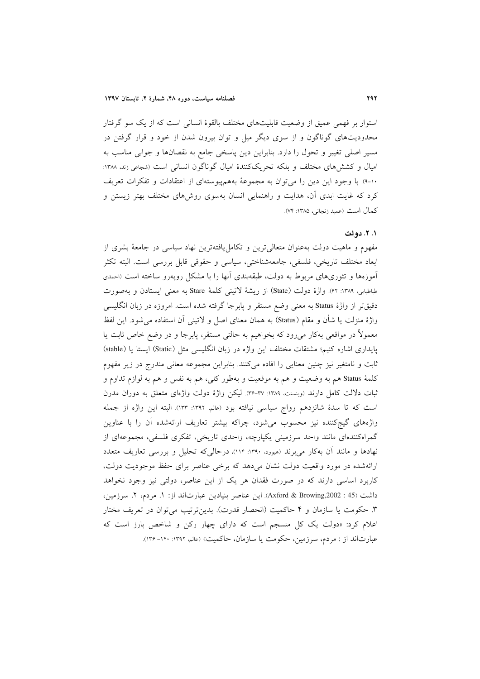استوار بر فهمی عمیق از وضعیت قابلیتهای مختلف بالقوهٔ انسانی است که از یک سو گرفتار محدودیتهای گوناگون و از سوی دیگر میل و توان بیرون شدن از خود و قرار گرفتن در مسیر اصلی تغییر و تحول را دارد. بنابراین دین پاسخی جامع به نقصانها و جوابی مناسب به امیال و کشش های مختلف و بلکه تحریککنندهٔ امیال گوناگون انسانی است (شجاعی زند. ۱۳۸۸: ١٠-٩). با وجود اين دين را مي توان به مجموعهٔ بههم پيوستهاي از اعتقادات و تفكرات تعريف کرد که غایت ابدی آن، هدایت و راهنمایی انسان بهسوی روشهای مختلف بهتر زیستن و كمال است (عميد زنجاني، ١٣٨٥: ٧۴).

## ۰. ۲. دولت

مفهوم و ماهیت دولت بهعنوان متعالی ترین و تکامل یافتهترین نهاد سیاسی در جامعهٔ بشری از ابعاد مختلف تاريخي، فلسفي، جامعهشناختي، سياسي و حقوقي قابل بررسي است. البته تكثر آموزهها و تئوریهای مربوط به دولت، طبقهبندی آنها را با مشکل روبهرو ساخته است (احمدی طباطبايي، ١٣٨٩: ۶٢). واژة دولت (State) از ريشة لاتيني كلمة Stare به معنى ايستادن و بهصورت دقیقتر از واژهٔ Status به معنی وضع مستقر و پابرجا گرفته شده است. امروزه در زبان انگلیسی واژهٔ منزلت یا شأن و مقام (Status) به همان معنای اصل و لاتینی آن استفاده میشود. این لفظ معمولاً در مواقعی بهکار میرود که بخواهیم به حالتی مستقر، پابرجا و در وضع خاص ثابت یا يايداري اشاره كنيم؛ مشتقات مختلف اين واژه در زبان انگليسي مثل (Static) ايستا يا (stable) ثابت و نامتغیر نیز چنین معنایی را افاده میکنند. بنابراین مجموعه معانی مندرج در زیر مفهوم کلمهٔ Status هم به وضعیت و هم به موقعیت و بهطور کلی، هم به نفس و هم به لوازم تداوم و ثبات دلالت کامل دارند (وینسنت، ۱۳۸۹: ۳۷-۳۶). لیکن واژهٔ دولت واژهای متعلق به دوران مدرن است که تا سدهٔ شانزدهم رواج سیاسی نیافته بود (عالم، ۱۳۹۲: ۱۳۳). البته این واژه از جمله واژههای گیجکننده نیز محسوب می شود، چراکه بیشتر تعاریف ارائهشده آن را با عناوین گمراهکنندهای مانند واحد سرزمینی یکپارچه، واحدی تاریخی، تفکری فلسفی، مجموعهای از نهادها و مانند آن بهکار میبرند (میوود. ۱۳۹۰: ۱۱۴)، درحالی که تحلیل و بررسی تعاریف متعدد ارائهشده در مورد واقعیت دولت نشان میدهد که برخی عناصر برای حفظ موجودیت دولت، کاربرد اساسی دارند که در صورت فقدان هر یک از این عناصر، دولتی نیز وجود نخواهد داشت (45: Axford & Browing,2002). این عناصر بنیادین عبارتاند از: ١. مردم، ٢. سرزمین، ۳. حکومت یا سازمان و ۴ حاکمیت (انحصار قدرت). بدین ترتیب می توان در تعریف مختار اعلام کرد: «دولت یک کل منسجم است که دارای چهار رکن و شاخص بارز است که عبارتاند از : مردم، سرزمین، حکومت یا سازمان، حاکمیت» (عالم، ۱۳۹۲: ۱۳۰-۱۳۶).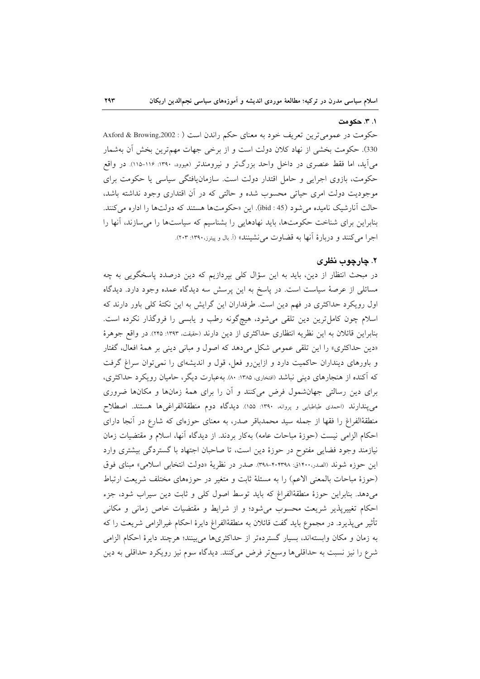#### ۰. ۳. حکومت

حکومت در عمومی ترین تعریف خود به معنای حکم راندن است ( : Axford & Browing,2002 330). حكومت بخشى از نهاد كلان دولت است و از برخى جهات مهمترين بخش آن بهشمار می آید، اما فقط عنصری در داخل واحد بزرگتر و نیرومندتر (هیوو. ۱۳۹۰-۱۱۵). در واقع حکومت، بازوی اجرایی و حامل اقتدار دولت است. سازمان یافتگی سیاسی یا حکومت برای موجودیت دولت امری حیاتی محسوب شده و حالتی که در آن اقتداری وجود نداشته باشد، حالت آنارشيک ناميده مي شود (45 : ibid). اين «حکومتها هستند که دولتها را اداره مي کنند. بنابراین برای شناخت حکومتها، باید نهادهایی را بشناسیم که سیاستها را می سازند، آنها را اجرا مي كنند و دربارهٔ آنها به قضاوت مي نشينند» (آ. بال و پيترز،١٣٩٠: ٢٠٣).

# ۲. چارچوب نظری

در مبحث انتظار از دین، باید به این سؤال کلی بپردازیم که دین درصدد پاسخگویی به چه مسائلی از عرصهٔ سیاست است. در پاسخ به این پرسش سه دیدگاه عمده وجود دارد. دیدگاه اول رویکرد حداکثری در فهم دین است. طرفداران این گرایش به این نکتهٔ کلی باور دارند که اسلام چون کامل ترین دین تلقی می شود، هیچگونه رطب و یابسی را فروگذار نکرده است. بنابراین قائلان به این نظریه انتظاری حداکثری از دین دارند (حقیقت، ۱۳۹۳: ۲۴۵). در واقع جوهرهٔ «دین حداکثری» را این تلقی عمومی شکل میدهد که اصول و مبانی دینی بر همهٔ افعال، گفتار و باورهای دینداران حاکمیت دارد و ازاین رو فعل، قول و اندیشهای را نمی توان سراغ گرفت که آکنده از هنجارهای دینی نباشد (افتخاری، ۱۳۸۵: ۸۰). بهعبارت دیگر، حامیان رویکرد حداکثری، برای دین رسالتی جهانشمول فرض میکنند و آن را برای همهٔ زمانها و مکانها ضروری می پندارند (احمدی طباطبایی و پروانه، ۱۳۹۰: ۱۵۵). دیدگاه دوم منطقهٔالفراغیها هستند. اصطلاح منطقهٔالفراغ را فقها از جمله سید محمدباقر صدر، به معنای حوزهای که شارع در آنجا دارای احكام الزامي نيست (حوزهٔ مباحات عامه) بهكار بردند. از ديدگاه آنها، اسلام و مقتضيات زمان نیازمند وجود فضایی مفتوح در حوزهٔ دین است، تا صاحبان اجتهاد با گستردگی بیشتری وارد این حوزه شوند (الصدر،۱۴۰۰ق: ۴۰۸-۴۰۳۹۸). صدر در نظریهٔ «دولت انتخابی اسلامی» مبنای فوق (حوزهٔ مباحات بالمعنی الاعم) را به مسئلهٔ ثابت و متغیر در حوزههای مختلف شریعت ارتباط می دهد. بنابراین حوزهٔ منطقهٔالفراغ که باید توسط اصول کلی و ثابت دین سیراب شود، جزء احکام تغییرپذیر شریعت محسوب می شود؛ و از شرایط و مقتضیات خاص زمانی و مکانی تأثیر میپذیرد. در مجموع باید گفت قائلان به منطقهٔالفراغ دایرهٔ احکام غیرالزامی شریعت را که به زمان و مکان وابستهاند، بسیار گستردهتر از حداکثریها میبینند؛ هرچند دایرهٔ احکام الزامی شرع را نيز نسبت به حداقلي ها وسيع تر فرض مي كنند. ديدگاه سوم نيز رويكرد حداقلي به دين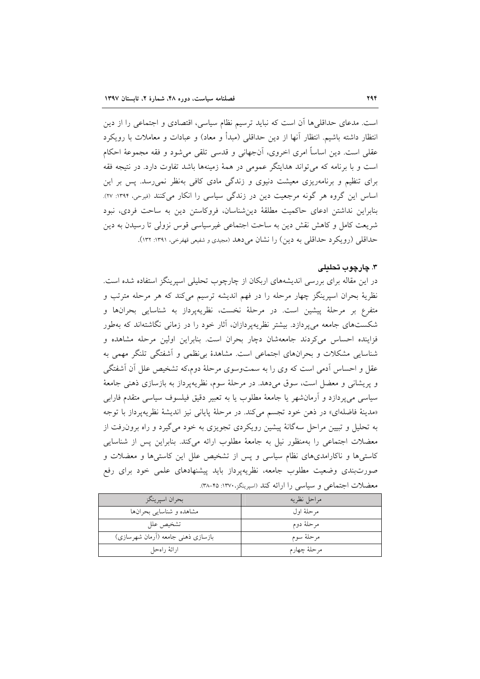است. مدعای حداقلیها آن است که نباید ترسیم نظام سیاسی، اقتصادی و اجتماعی را از دین انتظار داشته باشیم. انتظار آنها از دین حداقلی (مبدأ و معاد) و عبادات و معاملات با رویکرد عقلی است. دین اساساً امری اخروی، أنجهانی و قدسی تلقی میشود و فقه مجموعهٔ احکام است و با برنامه که می تواند هدایتگر عمومی در همهٔ زمینهها باشد تفاوت دارد. در نتیجه فقه برای تنظیم و برنامهریزی معیشت دنیوی و زندگی مادی کافی بهنظر نمی رسد. پس بر این اساس این گروه هر گونه مرجعیت دین در زندگی سیاسی را انکار میکنند (فیرحی، ۱۳۹۴: ۲۷). بنابراین نداشتن ادعای حاکمیت مطلقهٔ دین شناسان، فروکاستن دین به ساحت فردی، نبود شريعت كامل و كاهش نقش دين به ساحت اجتماعي غيرسياسي قوس نزولي تا رسيدن به دين حداقلی (رویکرد حداقلی به دین) را نشان میدهد (مجیدی و شفیعی قهفرخی، ۱۳۹۱: ۱۳۲).

#### ۳. چارچوب تحلیلی

در این مقاله برای بررسی اندیشههای اربکان از چارچوب تحلیلی اسپرینگز استفاده شده است. نظريهٔ بحران اسپرينگز چهار مرحله را در فهم انديشه ترسيم ميكند كه هر مرحله مترتب و متفرع بر مرحلهٔ پیشین است. در مرحلهٔ نخست، نظریهپرداز به شناسایی بحرانها و شکستهای جامعه میپردازد. بیشتر نظریهپردازان، آثار خود را در زمانی نگاشتهاند که بهطور فزاینده احساس میکردند جامعهشان دچار بحران است. بنابراین اولین مرحله مشاهده و شناسایی مشکلات و بحرانهای اجتماعی است. مشاهدهٔ بی نظمی و اَشفتگی تلنگر مهمی به عقل و احساس آدمی است که وی را به سمتوسوی مرحلهٔ دوم،که تشخیص علل آن آشفتگی و پریشانی و معضل است، سوق می۵هد. در مرحلهٔ سوم، نظریهپرداز به بازسازی ذهنی جامعهٔ سیاسی می پردازد و آرمانشهر یا جامعهٔ مطلوب یا به تعبیر دقیق فیلسوف سیاسی متقدم فارابی «مدينهٔ فاضلهاي» در ذهن خود تجسم مي كند. در مرحلهٔ پاياني نيز انديشهٔ نظريهپرداز با توجه به تحلیل و تبیین مراحل سهگانهٔ پیشین رویکردی تجویزی به خود می گیرد و راه برون(فت از معضلات اجتماعی را بهمنظور نیل به جامعهٔ مطلوب ارائه میکند. بنابراین پس از شناسایی کاستیها و ناکارامدیهای نظام سیاسی و پس از تشخیص علل این کاستیها و معضلات و صورتبندی وضعیت مطلوب جامعه، نظریهپرداز باید پیشنهادهای علمی خود برای رفع معضلات اجتماعي و سياسي را ارائه كند (اسيرينگز، ١٣٧٠: ٣٥-٣٨).

| بحران اسپرينگز                      | مراحل نظريه  |
|-------------------------------------|--------------|
| مشاهده و شناسایی بحرانها            | مرحلهٔ اول   |
| تشخيص علل                           | مرحلهٔ دوم   |
| بازسازی ذهنی جامعه (اَرمان شهرسازی) | مرحلهٔ سوم   |
| ارائهٔ راهحل                        | مرحلهٔ چهارم |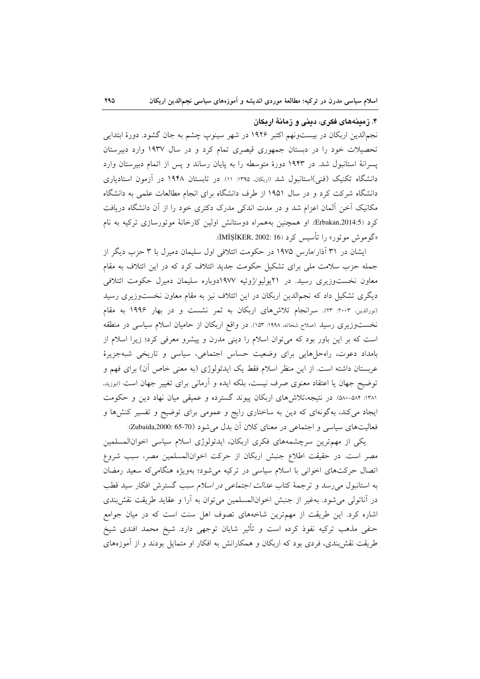۴. زمینههای فکری، دینی و زمانهٔ اربکان

نجم|لدین اربکان در بیستونهم اکتبر ۱۹۲۶ در شهر سینوپ چشم به جان گشود. دورهٔ ابتدایی تحصیلات خود را در دبستان جمهوری قیصری تمام کرد و در سال ۱۹۳۷ وارد دبیرستان یسرانهٔ استانبول شد. در ۱۹۴۳ دورهٔ متوسطه را به پایان رساند و پس از اتمام دبیرستان وارد دانشگاه تکنیک (فنی)استانبول شد «ربکان، ۱۳۹۵: ۱۱). در تابستان ۱۹۴۸ در آزمون استادیاری دانشگاه شرکت کرد و در سال ۱۹۵۱ از طرف دانشگاه برای انجام مطالعات علمی به دانشگاه مکانیک آخن آلمان اعزام شد و در مدت اندکی مدرک دکتری خود را از آن دانشگاه دریافت کرد (Erbakan,2014:5. او همچنین بههمراه دوستانش اولین کارخانهٔ موتورسازی ترکیه به نام «گوموش موتور» را تأسیس کرد (iMiŞiKER, 2002: 16).

ایشان در ۳۱ آذار/مارس ۱۹۷۵ در حکومت ائتلافی اول سلیمان دمیرل با ۳ حزب دیگر از جمله حزب سلامت ملی برای تشکیل حکومت جدید ائتلاف کرد که در این ائتلاف به مقام معاون نخستوزیری رسید. در ۲۱یولیو/ژوئیه ۱۹۷۷دوباره سلیمان دمیرل حکومت ائتلافی دیگری تشکیل داد که نجم|لدین اربکان در این ائتلاف نیز به مقام معاون نخستوزیری رسید (نورالدین، ۲۰۰۳: ۲۳). سرانجام تلاش۵های اربکان به ثمر نشست و در بهار ۱۹۹۶ به مقام نخستوزیری رسید (صلاح شحاته، ۱۹۹۸: ۱۵۳). در واقع اربکان از حامیان اسلام سیاسی در منطقه است که بر این باور بود که می توان اسلام را دینی مدرن و پیشرو معرفی کرد؛ زیرا اسلام از بامداد دعوت، راه حلهایی برای وضعیت حساس اجتماعی، سیاسی و تاریخی شبهجزیرهٔ عربستان داشته است. از این منظر اسلام فقط یک ایدئولوژی (به معنی خاص آن) برای فهم و توضیح جهان یا اعتقاد معنوی صرف نیست، بلکه ایده و آرمانی برای تغییر جهان است (ابوزید. ١٣٨١: ٥٨٢-٥٨٠). در نتيجه،تلاش(هاى اربكان پيوند گسترده و عميقى ميان نهاد دين و حكومت ایجاد میکند، بهگونهای که دین به ساختاری رایج و عمومی برای توضیح و تفسیر کنشها و فعالیتهای سیاسی و اجتماعی در معنای کلان آن بدل می شود (70-65 Zubaida,2000: 65.

یکی از مهمترین سرچشمههای فکری اربکان، ایدئولوژی اسلام سیاسی اخوانالمسلمین مصر است. در حقیقت اطلاع جنبش اربکان از حرکت اخوانالمسلمین مصر، سبب شروع اتصال حرکتهای اخوانی با اسلام سیاسی در ترکیه میشود؛ بهویژه هنگامیکه سعید رمضان به استانبول می رسد و ترجمهٔ کتاب *عدالت اجتماعی در اسلام* سبب گسترش افکار سید قطب در آناتولی می شود. بهغیر از جنبش اخوانالمسلمین می توان به آرا و عقاید طریقت نقش بندی اشاره کرد. این طریقت از مهمترین شاخههای تصوف اهل سنت است که در میان جوامع حنفی مذهب ترکیه نفوذ کرده است و تأثیر شایان توجهی دارد. شیخ محمد افندی شیخ طریقت نقش بندی، فردی بود که اربکان و همکارانش به افکار او متمایل بودند و از آموزههای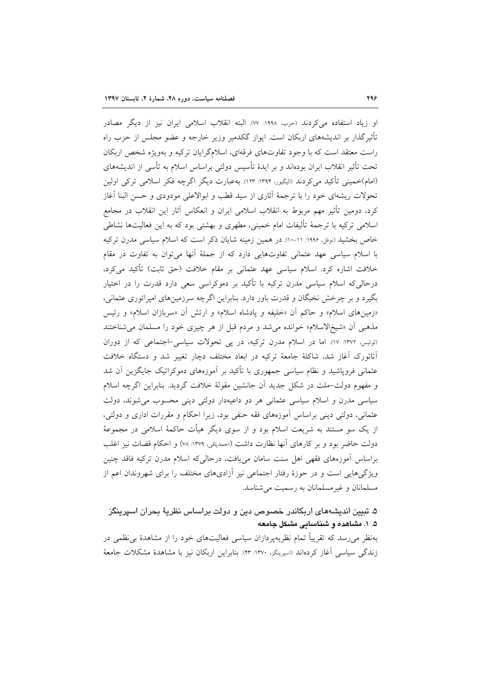او زياد استفاده مي كردند (حرب، ١٩٩٨: ٧٧). البته انقلاب اسلامي ايران نيز از ديگر مصادر تأثیرگذار بر اندیشههای اربکان است. ایواز گکدمیر وزیر خارجه و عضو مجلس از حزب راه راست معتقد است که با وجود تفاوتهای فرقهای، اسلامگرایان ترکیه و بهویژه شخص اربکان تحت تأثیر انقلاب ایران بودهاند و بر ایدهٔ تأسیس دولتی براساس اسلام به تأسی از اندیشههای (امام)خمینی تأکید می کردند (الیگیور، ۱۳۹۴: ۱۲۳). بهعبارت دیگر اگرچه فکر اسلامی ترکی اولین تحولات ریشهای خود را با ترجمهٔ آثاری از سید قطب و ابوالاعلی مودودی و حسن البنا آغاز کرد، دومین تأثیر مهم مربوط به انقلاب اسلامی ایران و انعکاس آثار این انقلاب در مجامع اسلامی ترکیه با ترجمهٔ تألیفات امام خمینی، مطهری و بهشتی بود که به این فعالیتها نشاطی خاص بخشید (نوفل، ۱۹۹۶: ۱۱-۱۰). در همین زمینه شایان ذکر است که اسلام سیاسی مدرن ترکیه با اسلام سیاسی عهد عثمانی تفاوتهایی دارد که از جملهٔ آنها می توان به تفاوت در مقام خلافت اشاره کرد. اسلام سیاسی عهد عثمانی بر مقام خلافت (حق ثابت) تأکید میکرد، درحالیکه اسلام سیاسی مدرن ترکیه با تأکید بر دموکراسی سعی دارد قدرت را در اختیار بگیرد و بر چرخش نخبگان و قدرت باور دارد. بنابراین اگرچه سرزمینهای امپراتوری عثمانی، «زمینهای اسلام» و حاکم آن «خلیفه و یادشاه اسلام» و ارتش آن «سربازان اسلام» و رئیس مذهبی آن «شیخ الاسلام» خوانده می شد و مردم قبل از هر چیزی خود را مسلمان می شناختند (لوئيس، ١٣٧٢: ١٧). اما در اسلام مدرن تركيه، در يي تحولات سياسي-اجتماعي كه از دوران آتاتورک آغاز شد، شاکلهٔ جامعهٔ ترکیه در ابعاد مختلف دچار تغییر شد و دستگاه خلافت عثمانی فرویاشید و نظام سیاسی جمهوری با تأکید بر آموزههای دموکراتیک جایگزین آن شد و مفهوم دولت-ملت در شکل جدید آن جانشین مقولهٔ خلافت گردید. بنابراین اگرچه اسلام سیاسی مدرن و اسلام سیاسی عثمانی هر دو داعیهدار دولتی دینی محسوب می شوند، دولت عثمانی، دولتی دینی براساس آموزههای فقه حنفی بود، زیرا احکام و مقررات اداری و دولتی، از یک سو مستند به شریعت اسلام بود و از سوی دیگر هیأت حاکمهٔ اسلامی در مجموعهٔ دولت حاضر بود و بر كارهاى آنها نظارت داشت (احمدياقى، ١٣٧٩: ٧٨) و احكام قضات نيز اغلب براساس آموزههای فقهی اهل سنت سامان می یافت، درحالی که اسلام مدرن ترکیه فاقد چنین ویژگے هایے است و در جوزۂ رفتار اجتماعی نیز آزادی،های مختلف را برای شهروندان اعم از مسلمانان و غیر مسلمانان به رسمیت می شناسد.

۵. تبیین اندیشههای اربکاندر خصوص دین و دولت براساس نظریهٔ بحران اسپرینگز ۵. ۱. مشاهده و شناسایی مشکل جامعه

بهنظر می رسد که تقریباً تمام نظریهپردازان سیاسی فعالیتهای خود را از مشاهدهٔ بی نظمی در زندگی سیاسی آغاز کردهاند (اسپرینگز، ۱۳۷۰: ۴۳). بنابراین اربکان نیز با مشاهدهٔ مشکلات جامعهٔ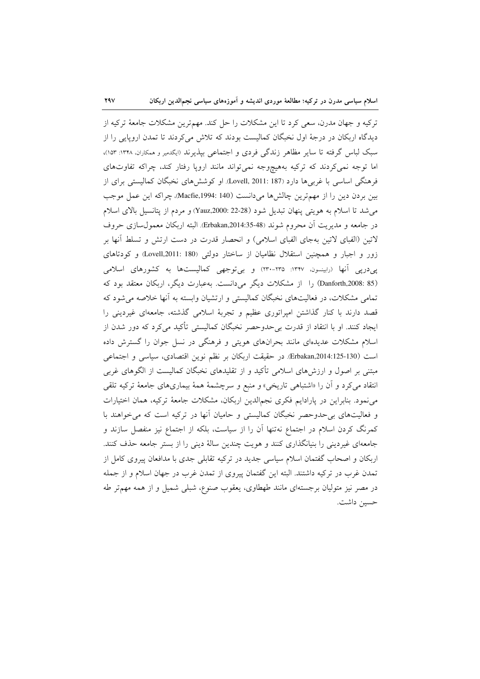ترکیه و جهان مدرن، سعی کرد تا این مشکلات را حل کند. مهمترین مشکلات جامعهٔ ترکیه از دیدگاه اربکان در درجهٔ اول نخبگان کمالیست بودند که تلاش می کردند تا تمدن اروپایی را از سبک لباس گرفته تا سایر مظاهر زندگی فردی و اجتماعی بپذیرند «بکدمیر و همکاران، ۱۳۴۸: ۱۵۳؛ اما توجه نمی کردند که ترکیه بههیچوجه نمیتواند مانند اروپا رفتار کند، چراکه تفاوتهای فرهنگی اساسی با غربی۵ا دارد (Lovell, 2011: 187). او کوشش۵ای نخبگان کمالیستی برای از بين بردن دين را از مهمترين چالشها مي دانست (140 :Macfie,1994)، چراكه اين عمل موجب می شد تا اسلام به هویتی پنهان تبدیل شود (28-22 :Yauz,2000) و مردم از پتانسیل بالای اسلام در جامعه و مديريت اّن محروم شوند (Brbakan,2014:35-48). البته اربكان معمول سازى حروف لاتین (الفبای لاتین بهجای الفبای اسلامی) و انحصار قدرت در دست ارتش و تسلط آنها بر زور و اجبار و همچنین استقلال نظامیان از ساختار دولتی (Lovell,2011: 180) و کودتاهای یپ درپی آنها (رابینسون، ۱۳۴۷: ۲۳۵-۲۳۰) و بی توجهی کمالیستها به کشورهای اسلامی (Danforth,2008: 85) را از مشکلات دیگر می دانست. به عبارت دیگر، اربکان معتقد بود که تمامی مشکلات، در فعالیتهای نخبگان کمالیستی و ارتشیان وابسته به آنها خلاصه می شود که قصد دارند با کنار گذاشتن امپراتوری عظیم و تجربهٔ اسلامی گذشته، جامعهای غیردینی را ایجاد کنند. او با انتقاد از قدرت بی حدوحصر نخبگان کمالیستی تأکید میکرد که دور شدن از اسلام مشکلات عدیدهای مانند بحرانهای هویتی و فرهنگی در نسل جوان را گسترش داده است (Erbakan,2014:125-130). در حقیقت اربکان بر نظم نوین اقتصادی، سیاسی و اجتماعی مبتنی بر اصول و ارزشهای اسلامی تأکید و از تقلیدهای نخبگان کمالیست از الگوهای غربی انتقاد میکرد و آن را «اشتباهی تاریخی» و منبع و سرچشمهٔ همهٔ بیماریهای جامعهٔ ترکیه تلقی می نمود. بنابراین در پارادایم فکری نجمالدین اربکان، مشکلات جامعهٔ ترکیه، همان اختیارات و فعالیتهای بی حدوحصر نخبگان کمالیستی و حامیان آنها در ترکیه است که می خواهند با کمرنگ کردن اسلام در اجتماع نهتنها آن را از سیاست، بلکه از اجتماع نیز منفصل سازند و جامعهای غیردینی را بنیانگذاری کنند و هویت چندین سالهٔ دینی را از بستر جامعه حذف کنند. اربکان و اصحاب گفتمان اسلام سیاسی جدید در ترکیه تقابلی جدی با مدافعان پیروی کامل از تمدن غرب در ترکیه داشتند. البته این گفتمان پیروی از تمدن غرب در جهان اسلام و از جمله در مصر نیز متولیان برجستهای مانند طهطاوی، یعقوب صنوع، شبلی شمیل و از همه مهمتر طه حسين داشت.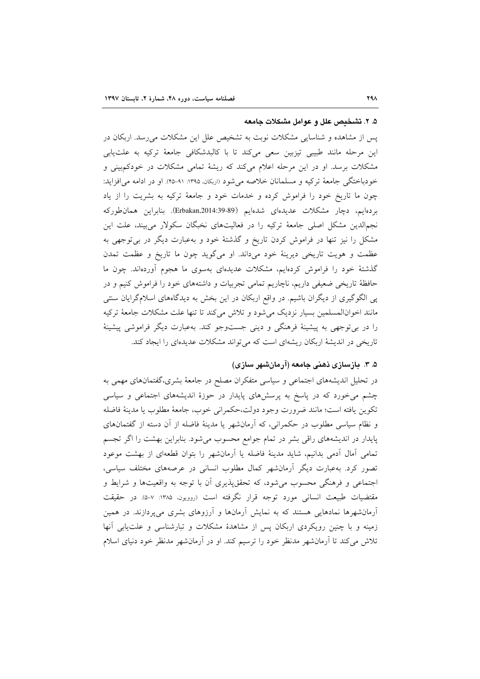#### ۵. ۲. تشخیص علل و عوامل مشکلات جامعه

یس از مشاهده و شناسایی مشکلات نوبت به تشخیص علل این مشکلات میرسد. اربکان در این مرحله مانند طبیبی تیزبین سعی میکند تا با کالبدشکافی جامعهٔ ترکیه به علتیابی مشکلات برسد. او در این مرحله اعلام میکند که ریشهٔ تمامی مشکلات در خودکمبینی و خودباختگی جامعهٔ ترکیه و مسلمانان خلاصه میشود (اربکان ۱۳۹۵: ۹۱-۴۵). او در ادامه می افزاید: چون ما تاریخ خود را فراموش کرده و خدمات خود و جامعهٔ ترکیه به بشریت را از یاد بردهايم، دچار مشكلات عديدهاي شدهايم (Erbakan,2014:39-89). بنابراين همان طوركه نجمالدین مشکل اصلی جامعهٔ ترکیه را در فعالیتهای نخبگان سکولار میبیند، علت این مشکل را نیز تنها در فراموش کردن تاریخ و گذشتهٔ خود و بهعبارت دیگر در بیتوجهی به عظمت و هويت تاريخي ديرينهٔ خود مي داند. او مي گويد چون ما تاريخ و عظمت تمدن گذشتهٔ خود را فراموش کردهایم، مشکلات عدیدهای بهسوی ما هجوم آوردهاند. چون ما حافظهٔ تاریخی ضعیفی داریم، ناچاریم تمامی تجربیات و داشتههای خود را فراموش کنیم و در پی الگوگیری از دیگران باشیم. در واقع اربکان در این بخش به دیدگاههای اسلامگرایان سنتی مانند اخوانالمسلمین بسیار نزدیک می شود و تلاش می کند تا تنها علت مشکلات جامعهٔ ترکیه را در برتوجهی به پیشینهٔ فرهنگی و دینی جستوجو کند. بهعبارت دیگر فراموشی پیشینهٔ تاریخی در اندیشهٔ اربکان ریشهای است که می تواند مشکلات عدیدهای را ایجاد کند.

## ۵. ۳. بازسازی ذهنی جامعه (آرمانشهر سازی)

در تحلیل اندیشههای اجتماعی و سیاسی متفکران مصلح در جامعهٔ بشری،گفتمانهای مهمی به چشم می خورد که در پاسخ به پرسشهای پایدار در حوزهٔ اندیشههای اجتماعی و سیاسی تكوين يافته است؛ مانند ضرورت وجود دولت،حكمراني خوب، جامعهٔ مطلوب يا مدينهٔ فاضله و نظام سیاسی مطلوب در حکمرانی، که آرمانشهر یا مدینهٔ فاضله از آن دسته از گفتمانهای پایدار در اندیشههای راقی بشر در تمام جوامع محسوب میشود. بنابراین بهشت را اگر تجسم تمامی آمال اَدمی بدانیم، شاید مدینهٔ فاضله یا اَرمانشهر را بتوان قطعهای از بهشت موعود تصور کرد. بهعبارت دیگر آرمانشهر کمال مطلوب انسانی در عرصههای مختلف سیاسی، اجتماعی و فرهنگی محسوب می شود، که تحقق پذیری آن با توجه به واقعیتها و شرایط و مقتضیات طبیعت انسانی مورد توجه قرار نگرفته است (روویون ۱۳۸۵: ۷-۵). در حقیقت آرمانشهرها نمادهایی هستند که به نمایش آرمانها و آرزوهای بشری میپردازند. در همین زمینه و با چنین رویکردی اربکان پس از مشاهدهٔ مشکلات و تبارشناسی و علت،یابی آنها تلاش می کند تا آرمانشهر مدنظر خود را ترسیم کند. او در آرمانشهر مدنظر خود دنیای اسلام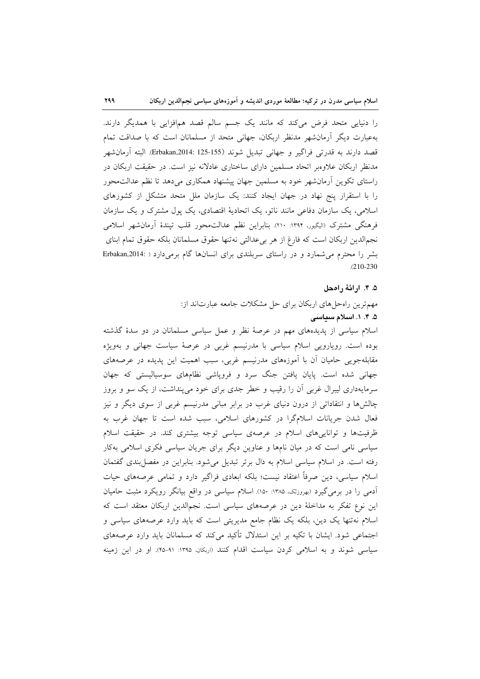را دنیایی متحد فرض میکند که مانند یک جسم سالم قصد همافزایی با همدیگر دارند. بهعبارت دیگر اَرمانشهر مدنظر اربکان، جهانی متحد از مسلمانان است که با صداقت تمام قصد دارند به قدرتی فراگیر و جهانی تبدیل شوند (Erbakan,2014: 125-155). البته اَرمانْشهر مدنظر اربکان علاوهبر اتحاد مسلمین دارای ساختاری عادلانه نیز است. در حقیقت اربکان در راستای تکوین اَرمانشهر خود به مسلمین جهان پیشنهاد همکاری میدهد تا نظم عدالتمحور را با استقرار پنج نهاد در جهان ایجاد کنند: یک سازمان ملل متحد متشکل از کشورهای اسلامی، یک سازمان دفاعی مانند ناتو، یک اتحادیهٔ اقتصادی، یک پول مشترک و یک سازمان فرهنگی مشترک (الیگیور، ۱۳۹۴: ۲۱۰). بنابراین نظم عدالت.حور قلب تپندهٔ آرمان شهر اسلامی نجم|لدین اربکان است که فارغ از هر بیعدالتی نهتنها حقوق مسلمانان بلکه حقوق تمام ابنای بشر را محترم می شمارد و در راستای سربلندی برای انسانها گام برمی دارد ( :Erbakan,2014  $.210 - 230$ 

# ۵. ۴. ارائهٔ رامحل

مهمترین راه حل های اربکان برای حل مشکلات جامعه عبارتاند از: ۵. ۴. ۱. اسلام سیاسی

اسلام سیاسی از پدیدههای مهم در عرصهٔ نظر و عمل سیاسی مسلمانان در دو سدهٔ گذشته بوده است. رویارویی اسلام سیاسی با مدرنیسم غربی در عرصهٔ سیاست جهانی و بهویژه مقابلهجویی حامیان آن با آموزههای مدرنیسم غربی، سبب اهمیت این پدیده در عرصههای جهانی شده است. پایان یافتن جنگ سرد و فروپاشی نظامهای سوسیالیستی که جهان سرمایهداری لیبرال غربی آن را رقیب و خطر جدی برای خود میپنداشت، از یک سو و بروز چالشها و انتقاداتی از درون دنیای غرب در برابر مبانی مدرنیسم غربی از سوی دیگر و نیز فعال شدن جریانات اسلامگرا در کشورهای اسلامی، سبب شده است تا جهان غرب به ظرفیتها و تواناییهای اسلام در عرصهی سیاسی توجه بیشتری کند. در حقیقت اسلام سیاسی نامی است که در میان نامها و عناوین دیگر برای جریان سیاسی فکری اسلامی بهکار رفته است. در اسلام سیاسی اسلام به دال برتر تبدیل میشود. بنابراین در مفصل بندی گفتمان اسلام سیاسی، دین صرفاً اعتقاد نیست؛ بلکه ابعادی فراگیر دارد و تمامی عرصههای حیات آدمی را در برمی گیرد (بهروزلک، ۱۳۸۵: ۱۵۰). اسلام سیاسی در واقع بیانگر رویکرد مثبت حامیان این نوع تفکر به مداخلهٔ دین در عرصههای سیاسی است. نجمالدین اربکان معتقد است که اسلام نهتنها یک دین، بلکه یک نظام جامع مدیریتی است که باید وارد عرصههای سیاسی و اجتماعی شود. ایشان با تکیه بر این استدلال تأکید میکند که مسلمانان باید وارد عرصههای سیاسی شوند و به اسلامی کردن سیاست اقدام کنند (اربکان، ۱۳۹۵: ۹۱-۴۵). او در این زمینه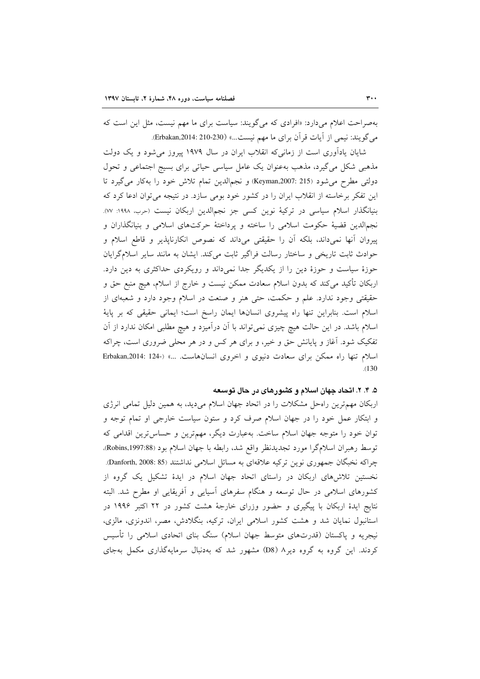بهصراحت اعلام میدارد: «افرادی که میگویند: سیاست برای ما مهم نیست، مثل این است که می گویند: نیمی از آیات قرآن برای ما مهم نیست...» (Erbakan,2014: 210-230).

شایان یادآوری است از زمانی که انقلاب ایران در سال ۱۹۷۹ پیروز میشود و یک دولت مذهبی شکل میگیرد، مذهب بهعنوان یک عامل سیاسی حیاتی برای بسیج اجتماعی و تحول دولتي مطرح مي شود (215 :Keyman,2007) و نجم الدين تمام تلاش خود را بهكار مي گيرد تا این تفکر برخاسته از انقلاب ایران را در کشور خود بومی سازد. در نتیجه می توان ادعا کرد که بنیانگذار اسلام سیاسی در ترکیهٔ نوین کسی جز نجم|لدین اربکان نیست (حرب، ۱۹۹۸: ۷۷). نجم|لدین قضیهٔ حکومت اسلامی را ساخته و پرداختهٔ حرکتهای اسلامی و بنیانگذاران و پیروان آنها نمیداند، بلکه اَن را حقیقتی میداند که نصوص انکارناپذیر و قاطع اسلام و حوادث ثابت تاریخی و ساختار رسالت فراگیر ثابت میکند. ایشان به مانند سایر اسلامگرایان حوزهٔ سیاست و حوزهٔ دین را از یکدیگر جدا نمیداند و رویکردی حداکثری به دین دارد. اربکان تأکید می کند که بدون اسلام سعادت ممکن نیست و خارج از اسلام، هیچ منبع حق و حقیقتی وجود ندارد. علم و حکمت، حتی هنر و صنعت در اسلام وجود دارد و شعبهای از اسلام است. بنابراین تنها راه پیشروی انسانها ایمان راسخ است؛ ایمانی حقیقی که بر پایهٔ اسلام باشد. در این حالت هیچ چیزی نمیتواند با آن درآمیزد و هیچ مطلبی امکان ندارد از آن تفکیک شود. آغاز و پایانش حق و خیر، و برای هر کس و در هر محلی ضروری است، چراکه اسلام تنها راه ممکن برای سعادت دنیوی و اخروی انسانهاست. ...» (-124 :124 Erbakan,2014  $(130)$ 

## ۵. ۴. ۲. اتحاد جهان اسلام و کشورهای در حال توسعه

اربکان مهمترین راهحل مشکلات را در اتحاد جهان اسلام میدید، به همین دلیل تمامی انرژی و ابتکار عمل خود را در جهان اسلام صرف کرد و ستون سیاست خارجی او تمام توجه و توان خود را متوجه جهان اسلام ساخت. بهعبارت دیگر، مهمترین و حساس ترین اقدامی که توسط رهبران اسلامگرا مورد تجدیدنظر واقع شد، رابطه با جهان اسلام بود (Robins,1997:88). چراكه نخبگان جمهوري نوين تركيه علاقهاي به مسائل اسلامي نداشتند (Danforth, 2008: 85). نخستین تلاشهای اربکان در راستای اتحاد جهان اسلام در ایدهٔ تشکیل یک گروه از کشورهای اسلامی در حال توسعه و هنگام سفرهای آسیایی و آفریقایی او مطرح شد. البته نتایج ایدهٔ اربکان با پیگیری و حضور وزرای خارجهٔ هشت کشور در ۲۲ اکتبر ۱۹۹۶ در استانبول نمایان شد و هشت کشور اسلامی ایران، ترکیه، بنگلادش، مصر، اندونزی، مالزی، نیجریه و پاکستان (قدرتهای متوسط جهان اسلام) سنگ بنای اتحادی اسلامی را تأسیس کردند. این گروه به گروه دیر۸ (D8) مشهور شد که بهدنبال سرمایهگذاری مکمل بهجای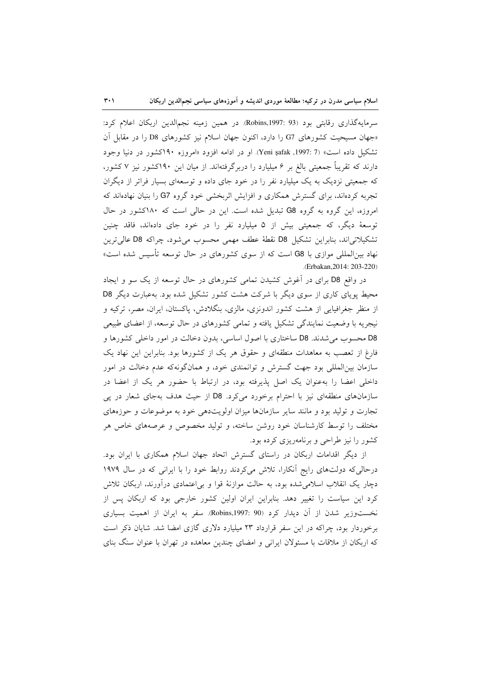$\mathbf{r} \cdot \mathbf{v}$ 

سرمایهگذاری رقابتی بود (Robins,1997: 93). در همین زمینه نجم|لدین اربکان اعلام کرد: «جهان مسیحیت کشورهای G7 را دارد، اکنون جهان اسلام نیز کشورهای D8 را در مقابل اَن تشکیل داده است» (7: Yeni şafak ,1997). او در ادامه افزود «امروزه ۱۹۰کشور در دنیا وجود دارند که تقریباً جمعیتی بالغ بر ۶ میلیارد را دربرگرفتهاند. از میان این ۱۹۰کشور نیز ۷ کشور، که جمعیتی نزدیک به یک میلیارد نفر را در خود جای داده و توسعهای بسیار فراتر از دیگران تجربه کردهاند، برای گسترش همکاری و افزایش اثربخشی خود گروه G7 را بنیان نهادهاند که امروزه، این گروه به گروه G8 تبدیل شده است. این در حالی است که ۱۸۰کشور در حال توسعهٔ دیگر، که جمعیتی بیش از ۵ میلیارد نفر را در خود جای دادهاند، فاقد چنین تشکیلاتی اند، بنابراین تشکیل D8 نقطهٔ عطف مهمی محسوب می شود، چراکه D8 عالی ترین نهاد بین|لمللی موازی با G8 است که از سوی کشورهای در حال توسعه تأسیس شده است» .(Erbakan, 2014: 203-220)

در واقع D8 برای در آغوش کشیدن تمامی کشورهای در حال توسعه از یک سو و ایجاد محیط پویای کاری از سوی دیگر با شرکت هشت کشور تشکیل شده بود. به عبارت دیگر D8 از منظر جغرافیایی از هشت کشور اندونزی، مالزی، بنگلادش، پاکستان، ایران، مصر، ترکیه و نیجریه با وضعیت نمایندگی تشکیل یافته و تمامی کشورهای در حال توسعه، از اعضای طبیعی D8 محسوب میشدند. D8 ساختاری با اصول اساسی، بدون دخالت در امور داخلی کشورها و فارغ از تعصب به معاهدات منطقهای و حقوق هر یک از کشورها بود. بنابراین این نهاد یک سازمان بین|لمللی بود جهت گسترش و توانمندی خود، و همانگونهکه عدم دخالت در امور داخلی اعضا را بهعنوان یک اصل پذیرفته بود، در ارتباط با حضور هر یک از اعضا در سازمانهای منطقهای نیز با احترام برخورد میکرد. D8 از حیث هدف بهجای شعار در پی تجارت و تولید بود و مانند سایر سازمانها میزان اولویتدهی خود به موضوعات و حوزههای مختلف را توسط کارشناسان خود روشن ساخته، و تولید مخصوص و عرصههای خاص هر کشور را نیز طراحی و برنامهریزی کرده بود.

از دیگر اقدامات اربکان در راستای گسترش اتحاد جهان اسلام همکاری با ایران بود. درحالی که دولتهای رایج آنکارا، تلاش میکردند روابط خود را با ایرانی که در سال ۱۹۷۹ دچار یک انقلاب اسلامی شده بود، به حالت موازنهٔ قوا و بی|عتمادی درآورند، اربکان تلاش کرد این سیاست را تغییر دهد. بنابراین ایران اولین کشور خارجی بود که اربکان پس از نخستوزیر شدن از آن دیدار کرد (Robins,1997: 90). سفر به ایران از اهمیت بسیاری برخوردار بود، چراکه در این سفر قرارداد ۲۳ میلیارد دلاری گازی امضا شد. شایان ذکر است که اربکان از ملاقات با مسئولان ایرانی و امضای چندین معاهده در تهران با عنوان سنگ بنای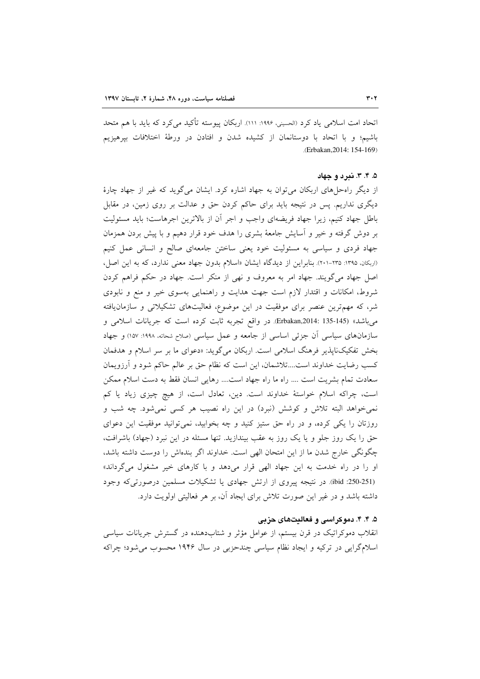اتحاد امت اسلامی یاد کرد (الحسینی، ۱۹۹۶: ۱۱۱). اربکان پیوسته تأکید می کرد که باید با هم متحد باشیم؛ و با اتحاد با دوستانمان از کشیده شدن و افتادن در ورطهٔ اختلافات بیرهیزیم (Erbakan, 2014: 154-169)

### ۵. ۴. ۴. ندرد و حهاد

از دیگر راهحل های اربکان می توان به جهاد اشاره کرد. ایشان می گوید که غیر از جهاد چارهٔ دیگری نداریم. پس در نتیجه باید برای حاکم کردن حق و عدالت بر روی زمین، در مقابل باطل جهاد کنیم، زیرا جهاد فریضهای واجب و اجر آن از بالاترین اجرهاست؛ باید مسئولیت بر دوش گرفته و خیر و آسایش جامعهٔ بشری را هدف خود قرار دهیم و با پیش بردن همزمان جهاد فردی و سیاسی به مسئولیت خود یعنی ساختن جامعهای صالح و انسانی عمل کنیم (اربکان، ۱۳۹۵: ۲۳۵-۲۰۱). بنابراین از دیدگاه ایشان «اسلام بدون جهاد معنی ندارد، که به این اصل، اصل جهاد می گویند. جهاد امر به معروف و نهی از منکر است. جهاد در حکم فراهم کردن شروط، امکانات و اقتدار لازم است جهت هدایت و راهنمایی بهسوی خیر و منع و نابودی شر، که مهمترین عنصر برای موفقیت در این موضوع، فعالیتهای تشکیلاتی و سازمانیافته مي باشد» (145-135 :Erbakan,2014). در واقع تجربه ثابت كرده است كه جريانات اسلامي و سازمانهای سیاسی آن جزئی اساسی از جامعه و عمل سیاسی (صلاح شحانه، ۱۹۹۸: ۱۵۷) و جهاد بخش تفکیکناپذیر فرهنگ اسلامی است. اربکان میگوید: «دعوای ما بر سر اسلام و هدفمان کسب رضایت خداوند است....تلاشمان، این است که نظام حق بر عالم حاکم شود و آرزویمان سعادت تمام بشريت است .... راه ما راه جهاد است.... رهايي انسان فقط به دست اسلام ممكن است، چراكه اسلام خواستهٔ خداوند است. دين، تعادل است، از هيچ چيزي زياد يا كم نمیخواهد البته تلاش و کوشش (نبرد) در این راه نصیب هر کسی نمیشود. چه شب و روزتان را یکی کرده، و در راه حق ستیز کنید و چه بخوابید، نمی توانید موفقیت این دعوای حق را یک روز جلو و یا یک روز به عقب بیندازید. تنها مسئله در این نبرد (جهاد) باشرافت، چگونگی خارج شدن ما از این امتحان الهی است. خداوند اگر بندهاش را دوست داشته باشد، او را در راه خدمت به این جهاد الهی قرار میدهد و با کارهای خیر مشغول میگرداند» (ibid :250-251). در نتيجه پيروي از ارتش جهادي يا تشكيلات مسلمين درصورتي كه وجود داشته باشد و در غیر این صورت تلاش برای ایجاد آن، بر هر فعالیتی اولویت دارد.

## ۵. ۴. ۴. دموکراسی و فعالیتهای حزبی

انقلاب دموکراتیک در قرن بیستم، از عوامل مؤثر و شتابدهنده در گسترش جریانات سیاسی اسلامگرایی در ترکیه و ایجاد نظام سیاسی چندحزبی در سال ۱۹۴۶ محسوب می شود؛ چراکه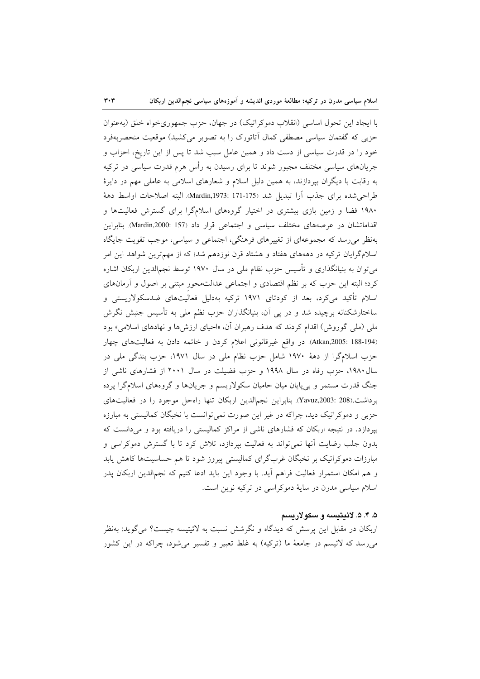$\mathbf{r} \cdot \mathbf{r}$ 

با ایجاد این تحول اساسی (انقلاب دموکراتیک) در جهان، حزب جمهوریخواه خلق (بهعنوان حزبی که گفتمان سیاسی مصطفی کمال آتاتورک را به تصویر میکشید) موقعیت منحصربهفرد خود را در قدرت سیاسی از دست داد و همین عامل سبب شد تا پس از این تاریخ، احزاب و جریانهای سیاسی مختلف مجبور شوند تا برای رسیدن به رأس هرم قدرت سیاسی در ترکیه به رقابت با دیگران بپردازند، به همین دلیل اسلام و شعارهای اسلامی به عاملی مهم در دایرهٔ طراحي شده براي جذب أرا تبديل شد (175-171 :Mardin,1973). البته اصلاحات اواسط دههٔ ۱۹۸۰ فضا و زمین بازی بیشتری در اختیار گروههای اسلامگرا برای گسترش فعالیتها و اقداماتشان در عرصههای مختلف سیاسی و اجتماعی قرار داد (157 :Mardin,2000). بنابراین بهنظر می رسد که مجموعهای از تغییرهای فرهنگی، اجتماعی و سیاسی، موجب تقویت جایگاه اسلامگرایان ترکیه در دهههای هفتاد و هشتاد قرن نوزدهم شد؛ که از مهمترین شواهد این امر می توان به بنیانگذاری و تأسیس حزب نظام ملی در سال ۱۹۷۰ توسط نجم\لدین اربکان اشاره کرد؛ البته این حزب که بر نظم اقتصادی و اجتماعی عدالتمحور مبتنی بر اصول و أرمانهای اسلام تأکید میکرد، بعد از کودتای ۱۹۷۱ ترکیه بهدلیل فعالیتهای ضدسکولاریستی و ساختارشکنانه برچیده شد و در یی آن، بنیانگذاران حزب نظم ملی به تأسیس جنبش نگرش ملی (ملی گوروش) اقدام کردند که هدف رهبران آن، «احیای ارزشها و نهادهای اسلامی» بود (Atkan,2005: 188-194). در واقع غيرقانوني اعلام كردن و خاتمه دادن به فعاليتهاى چهار حزب اسلامگرا از دههٔ ۱۹۷۰ شامل حزب نظام ملی در سال ۱۹۷۱، حزب بندگی ملی در سال ۱۹۸۰، حزب رفاه در سال ۱۹۹۸ و حزب فضیلت در سال ۲۰۰۱ از فشارهای ناشی از جنگ قدرت مستمر و برپیایان میان حامیان سکولاریسم و جریانها و گروههای اسلامگرا پرده برداشت.(208: Yavuz,2003: بنابراین نجم|لدین اربکان تنها راهحل موجود را در فعالیتهای حزبی و دموکراتیک دید، چراکه در غیر این صورت نمی توانست با نخبگان کمالیستی به مبارزه بیردازد. در نتیجه اربکان که فشارهای ناشی از مراکز کمالیستی را دریافته بود و می دانست که بدون جلب رضایت أنها نمیٍتواند به فعالیت بپردازد، تلاش کرد تا با گسترش دموکراسی و مبارزات دموکراتیک بر نخبگان غربگرای کمالیستی پیروز شود تا هم حساسیتها کاهش یابد و هم امکان استمرار فعالیت فراهم آید. با وجود این باید ادعا کنیم که نجمالدین اربکان یدر اسلام سیاسی مدرن در سایهٔ دموکراسی در ترکیه نوین است.

## ۵. ۴. ۵. لائيتيسه و سکولاريسم

اربکان در مقابل این پرسش که دیدگاه و نگرشش نسبت به لائیتیسه چیست؟ میگوید: بهنظر می رسد که لائیسم در جامعهٔ ما (ترکیه) به غلط تعبیر و تفسیر می شود، چراکه در این کشور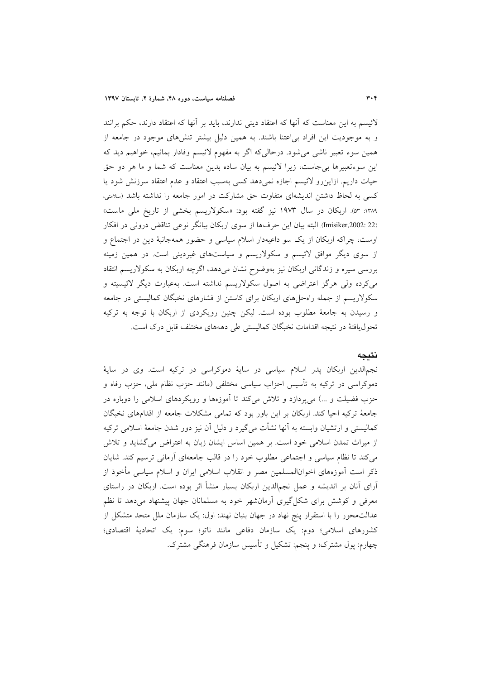لائیسم به این معناست که آنها که اعتقاد دینی ندارند، باید بر آنها که اعتقاد دارند، حکم برانند و به موجودیت این افراد بی اعتنا باشند. به همین دلیل بیشتر تنش۵مای موجود در جامعه از همین سوء تعبیر ناشی میشود. درحالی که اگر به مفهوم لائیسم وفادار بمانیم، خواهیم دید که این سوءتعبیرها بی جاست، زیرا لائیسم به بیان ساده بدین معناست که شما و ما هر دو حق حیات داریم. ازاین رو لائیسم اجازه نمی دهد کسی بهسبب اعتقاد و عدم اعتقاد سرزنش شود یا کسی به لحاظ داشتن اندیشهای متفاوت حق مشارکت در امور جامعه را نداشته باشد (سلامتی، ۱۳۸۹: ۵۳). اربکان در سال ۱۹۷۳ نیز گفته بود: «سکولاریسم بخشی از تاریخ ملی ماست» (Imisiker,2002: 22). البته بيان اين حرفها از سوى اربكان بيانگر نوعي تناقض دروني در افكار اوست، چراکه اربکان از یک سو داعیهدار اسلام سیاسی و حضور همهجانبهٔ دین در اجتماع و از سوی دیگر موافق لائیسم و سکولاریسم و سیاستهای غیردینی است. در همین زمینه بررسی سیره و زندگانی اربکان نیز بهوضوح نشان می دهد، اگرچه اربکان به سکولاریسم انتقاد میکرده ولی هرگز اعتراضی به اصول سکولاریسم نداشته است. بهعبارت دیگر لائیسیته و سکولاریسم از جمله راهحلهای اربکان برای کاستن از فشارهای نخبگان کمالیستی در جامعه و رسیدن به جامعهٔ مطلوب بوده است. لیکن چنین رویکردی از اربکان با توجه به ترکیه تحول یافتهٔ در نتیجه اقدامات نخبگان کمالیستی طی دهههای مختلف قابل درک است.

# نتبجه

نجم|لدین اربکان پدر اسلام سیاسی در سایهٔ دموکراسی در ترکیه است. وی در سایهٔ دموکراسی در ترکیه به تأسیس احزاب سیاسی مختلفی (مانند حزب نظام ملی، حزب رفاه و حزب فضیلت و …) میپردازد و تلاش میکند تا آموزهها و رویکردهای اسلامی را دوباره در جامعهٔ ترکیه احیا کند. اربکان بر این باور بود که تمامی مشکلات جامعه از اقدامهای نخبگان كماليستي و ارتشيان وابسته به آنها نشأت مي گيرد و دليل آن نيز دور شدن جامعهٔ اسلامي تركيه از میراث تمدن اسلامی خود است. بر همین اساس ایشان زبان به اعتراض میگشاید و تلاش می کند تا نظام سیاسی و اجتماعی مطلوب خود را در قالب جامعهای آرمانی ترسیم کند. شایان ذکر است آموزههای اخوانالمسلمین مصر و انقلاب اسلامی ایران و اسلام سیاسی مأخوذ از آرای آنان بر اندیشه و عمل نجمالدین اربکان بسیار منشأ اثر بوده است. اربکان در راستای معرفی و کوشش برای شکل گیری آرمان شهر خود به مسلمانان جهان پیشنهاد میدهد تا نظم عدالتِمحور را با استقرار ينج نهاد در جهان بنيان نهند: اول: يک سازمان ملل متحد متشکل از كشورهاى اسلامى؛ دوم: يك سازمان دفاعى مانند ناتو؛ سوم: يك اتحادية اقتصادى؛ چهارم: پول مشترک؛ و پنجم: تشکیل و تأسیس سازمان فرهنگی مشترک.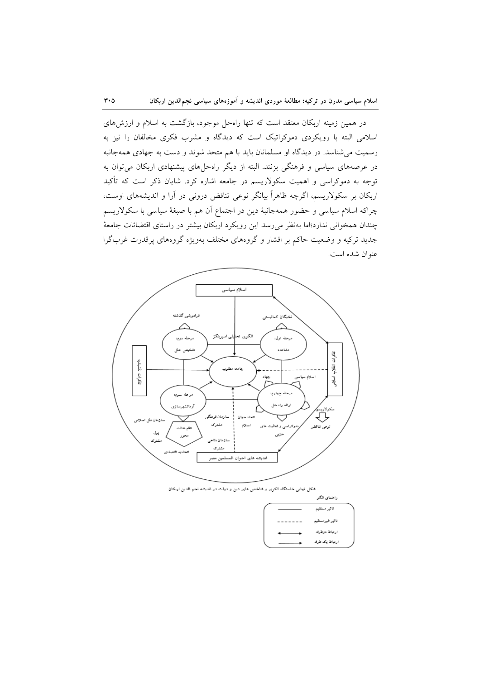در همین زمینه اربکان معتقد است که تنها راهحل موجود، بازگشت به اسلام و ارزشهای اسلامی البته با رویکردی دموکراتیک است که دیدگاه و مشرب فکری مخالفان را نیز به رسمیت می شناسد. در دیدگاه او مسلمانان باید با هم متحد شوند و دست به جهادی همهجانبه در عرصههای سیاسی و فرهنگی بزنند. البته از دیگر راهحلهای پیشنهادی اربکان می توان به توجه به دموکراسی و اهمیت سکولاریسم در جامعه اشاره کرد. شایان ذکر است که تأکید اربکان بر سکولاریسم، اگرچه ظاهراً بیانگر نوعی تناقض درونی در آرا و اندیشههای اوست، چراکه اسلام سیاسی و حضور همهجانبهٔ دین در اجتماع آن هم با صبغهٔ سیاسی با سکولاریسم چندان همخوانی ندارد؛اما بهنظر می رسد این رویکرد اربکان بیشتر در راستای اقتضائات جامعهٔ جدید ترکیه و وضعیت حاکم بر اقشار و گروههای مختلف بهویژه گروههای پرقدرت غربگرا عنوان شده است.



شکل نهایی خاستگاه فکری و شاخص های دین و دولت در اندیشه نجم الدین اریکان

|  | راهنمای الگو    |  |
|--|-----------------|--|
|  | تالير مستقيم    |  |
|  | تاثير غيرمستقيم |  |
|  | ارتباط دوطرقه   |  |
|  | ارتباط يک طرقه  |  |

 $\mathbf{r} \cdot \mathbf{r}$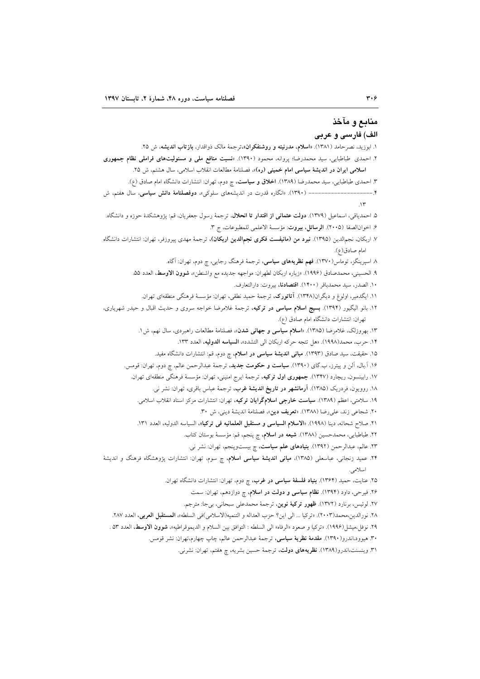# منابع و مآخذ الف) فارسي و عربي

۱. ابوزید، نصر حامد (۱۳۸۱). «ا**سلام، مدرنیته و روشنفکران»**،ترجمهٔ مالک ذواقدار، **بازتاب اندیشه**، ش ۲۵. ۲. احمدی طباطبایی، سید محمدرضا؛ پروانه، محمود (۱۳۹۰). «نسبت منافع ملی و مسئولیتهای فراملی نظام جمهوری ا**سلامی ایران در اندیشهٔ سیاسی امام خمینی (ره)»،** فصلنامهٔ مطالعات انقلاب اسلامی، سال هشتم، ش ۲۵. ۳. احمدی طباطبایی، سید محمدرضا (۱۳۸۹). ا**خلاق و سیاست**، چ دوم، تهران: انتشارات دانشگاه امام صادق (ع). ------------- (۱۳۹۰). «انگاره قدرت در اندیشههای سلوکی»، **دوفصلنامهٔ دانش سیاسی**، سال هفتم، ش ------- **۴**  $\mathcal{N}$ ۵. احمدیاقی، اسماعیل (۱۳۷۹). **دولت عثمانی از اقتدار تا انحلال**، ترجمهٔ رسول جعفریان، قم: پژوهشکدهٔ حوزه و دانشگاه. ۶. اخوانالصفا (۲۰۰۵). ا**لرسائل، بیروت**: مؤسسهٔ الاعلمی للمطبوعات، ج ۳. ۷. اربکان، نجمالدین (۱۳۹۵). **نبرد من (مانیفست فکری نجمالدین اربکان)**، ترجمهٔ مهدی پیروزفر، تهران: انتشارات دانشگاه امام صادق(ع). ۸ اسپرینگز، توماس(۱۳۷۰). **فهم نظریههای سیاسی**، ترجمهٔ فرهنگ رجایی، چ دوم، تهران: آگاه. ٩. الحسيني، محمدصادق (١٩٩۶). «زياره اربكان لطهران: مواجهه جديده مع واشنطن»، شوون الاوسط، العدد ٥٥. ١٠. الصدر، سيد محمدباقر (١۴٠٠). اقتصادنا، بيروت: دارالتعارف. ١١. ايگدمير، اولوغ و ديگران(١٣۴٨). **آتاتورک**، ترجمهٔ حميد نطقي، تهران: مؤسسهٔ فرهنگي منطقهاي تهران. ۱۲. بانو الیگیور (۱۳۹۴). **بسیج اسلام سیاسی در ترکیه**، ترجمهٔ غلامرضا خواجه سروی و حدیث اقبال و حیدر شهریاری، تهران: انتشارات دانشگاه امام صادق (ع). ۱۳. بهروزلک، غلامرضا (۱۳۸۵). «**اسلام سیاسی و جهانی شدن**»، فصلنامهٔ مطالعات راهبردی، سال نهم، ش۱. ۱۴. حرب، محمد(۱۹۹۸). «هل تتجه حركه اربكان الى التشدد»، **السياسه الدوليه**، العدد ۱۳۳. ۱۵. حقیقت، سید صادق (۱۳۹۳). **مبانی اندیشهٔ سیاسی در اسلام**، چ دوم، قم: انتشارات دانشگاه مفید. ۱۶. اّ.بال، الن و پیترز، ب.گای (۱۳۹۰). **سیاست و حکومت جدید**، ترجمهٔ عبدالرحمن عالم، چ دوم، تهران: قومس. ۱۷. رابینسون، ریچارد (۱۳۴۷). جمهوری اول ترکیه، ترجمهٔ ایرج امنینی، تهران: مؤسسهٔ فرهنگی منطقهای تهران. ۱۸. روویون، فردریک (۱۳۸۵). **آرمانشهر در تاریخ اندیشهٔ غرب**، ترجمهٔ عباس باقری، تهران: نشر نی. ۱۹. سلامتی، اعظم (۱۳۸۹). **سیاست خارجی اسلامگرایان ترکیه**، تهران: انتشارات مرکز اسناد انقلاب اسلامی. ٢٠. شجاعي زند، على رضا (١٣٨٨). «تعريف دين»، فصلنامة الديشة ديني، ش ٣٠. ٢١. صلاح شحاته، دينا (١٩٩٨). «**الاسلام السياسي و مستقبل العلمانيه في تركيا»،** السياسه الدوليه، العدد ١٣١. ٢٢. طباطبايي، محمدحسين (١٣٨٨). **شيعه در اسلام**، چ پنجم، قم: مؤسسة بوستان كتاب. ۲۳. عالم، عبدالرحمن (۱۳۹۲). **بنیادهای علم سیاست**، چ بیستوپنجم، تهران: نشر نی. ۲۴. عمید زنجانی، عباسعلی (۱۳۸۵)، **مبانی اندیشهٔ سیاسی اسلام**، چ سوم، تهران: انتشارات پژوهشگاه فرهنگ و اندیشهٔ اسلامى. ۲۵. عنایت، حمید (۱۳۶۴). **بنیاد فلسفهٔ سیاسی در غرب**، چ دوم، تهران: انتشارات دانشگاه تهران. ۲۶. فیرحی، داود (۱۳۹۴). <mark>نظام سیاسی و دولت در اسلام</mark>، چ دوازدهم، تهران: سمت ٢٧. لوئيس، برنارد (١٣٧٢). ظهور تركية نوين، ترجمة محمدعلي سبحاني، بيجا: مترجم. ٢٨. نورالدين،محمد(٢٠٠٣). «تركيا ... الى اين؟ حزب العداله و التنميه(الاسلامي)في السلطه»، ا**لمستقبل العربي**، العدد ٢٨٧. ٢٩. نوفل،ميشار(١٩٩۶). «تركيا و صعود «الرفاه» الى السلطه : التوافق بين السلام و الديموقراطيه»، **شوون الاوسط**، العدد ٥٣ . ٣٠. هيوود،اندرو(١٣٩٠). مقدمة نظرية سياسي، ترجمة عبدالرحمن عالم، چاپ چهارم،تهران: نشر قومس. ۳۱. وینسنت،اندرو(۱۳۸۹). **نظریههای دولت**، ترجمهٔ حسین بشریه، چ هفتم، تهران: نشرنی.